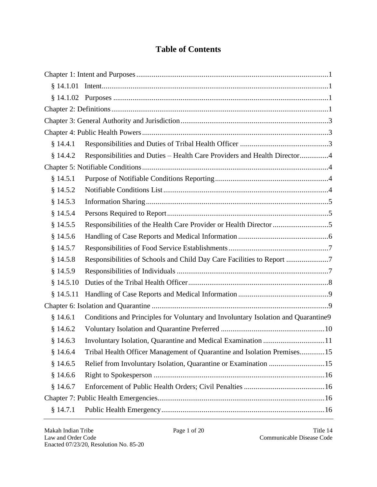## **Table of Contents**

| § 14.4.1  |                                                                                   |  |
|-----------|-----------------------------------------------------------------------------------|--|
| \$14.4.2  | Responsibilities and Duties – Health Care Providers and Health Director4          |  |
|           |                                                                                   |  |
| \$14.5.1  |                                                                                   |  |
| \$14.5.2  |                                                                                   |  |
| \$14.5.3  |                                                                                   |  |
| \$14.5.4  |                                                                                   |  |
| § 14.5.5  |                                                                                   |  |
| \$14.5.6  |                                                                                   |  |
| § 14.5.7  |                                                                                   |  |
| \$14.5.8  | Responsibilities of Schools and Child Day Care Facilities to Report               |  |
| § 14.5.9  |                                                                                   |  |
| \$14.5.10 |                                                                                   |  |
| \$14.5.11 |                                                                                   |  |
|           |                                                                                   |  |
| \$14.6.1  | Conditions and Principles for Voluntary and Involuntary Isolation and Quarantine9 |  |
| \$14.6.2  |                                                                                   |  |
| \$14.6.3  |                                                                                   |  |
| \$14.6.4  | Tribal Health Officer Management of Quarantine and Isolation Premises15           |  |
| \$14.6.5  | Relief from Involuntary Isolation, Quarantine or Examination 15                   |  |
| \$14.6.6  |                                                                                   |  |
| \$14.6.7  |                                                                                   |  |
|           |                                                                                   |  |
| \$14.7.1  |                                                                                   |  |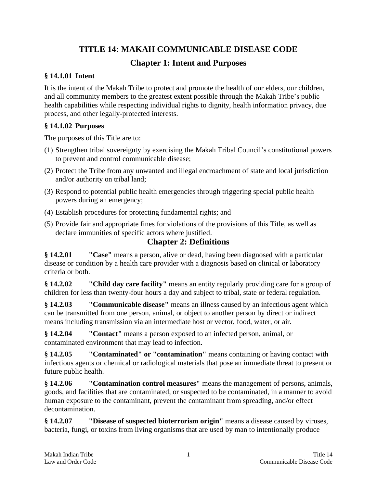## **TITLE 14: MAKAH COMMUNICABLE DISEASE CODE**

## **Chapter 1: Intent and Purposes**

## <span id="page-2-1"></span><span id="page-2-0"></span>**§ 14.1.01 Intent**

It is the intent of the Makah Tribe to protect and promote the health of our elders, our children, and all community members to the greatest extent possible through the Makah Tribe's public health capabilities while respecting individual rights to dignity, health information privacy, due process, and other legally-protected interests.

### <span id="page-2-2"></span>**§ 14.1.02 Purposes**

The purposes of this Title are to:

- (1) Strengthen tribal sovereignty by exercising the Makah Tribal Council's constitutional powers to prevent and control communicable disease;
- (2) Protect the Tribe from any unwanted and illegal encroachment of state and local jurisdiction and/or authority on tribal land;
- (3) Respond to potential public health emergencies through triggering special public health powers during an emergency;
- (4) Establish procedures for protecting fundamental rights; and
- (5) Provide fair and appropriate fines for violations of the provisions of this Title, as well as declare immunities of specific actors where justified.

## **Chapter 2: Definitions**

<span id="page-2-3"></span>**§ 14.2.01 "Case"** means a person, alive or dead, having been diagnosed with a particular disease or condition by a health care provider with a diagnosis based on clinical or laboratory criteria or both.

**§ 14.2.02 "Child day care facility"** means an entity regularly providing care for a group of children for less than twenty-four hours a day and subject to tribal, state or federal regulation.

**§ 14.2.03 "Communicable disease"** means an illness caused by an infectious agent which can be transmitted from one person, animal, or object to another person by direct or indirect means including transmission via an intermediate host or vector, food, water, or air.

**§ 14.2.04 "Contact"** means a person exposed to an infected person, animal, or contaminated environment that may lead to infection.

**§ 14.2.05 "Contaminated" or "contamination"** means containing or having contact with infectious agents or chemical or radiological materials that pose an immediate threat to present or future public health.

**§ 14.2.06 "Contamination control measures"** means the management of persons, animals, goods, and facilities that are contaminated, or suspected to be contaminated, in a manner to avoid human exposure to the contaminant, prevent the contaminant from spreading, and/or effect decontamination.

**§ 14.2.07 "Disease of suspected bioterrorism origin"** means a disease caused by viruses, bacteria, fungi, or toxins from living organisms that are used by man to intentionally produce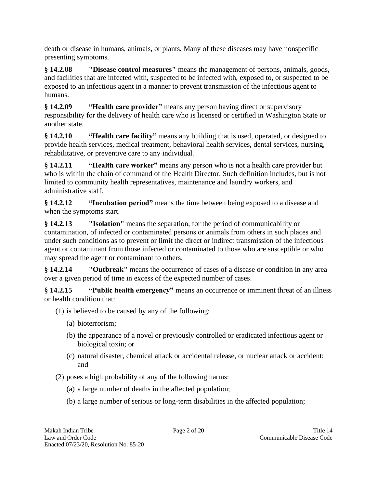death or disease in humans, animals, or plants. Many of these diseases may have nonspecific presenting symptoms.

**§ 14.2.08 "Disease control measures"** means the management of persons, animals, goods, and facilities that are infected with, suspected to be infected with, exposed to, or suspected to be exposed to an infectious agent in a manner to prevent transmission of the infectious agent to humans.

**§ 14.2.09 "Health care provider"** means any person having direct or supervisory responsibility for the delivery of health care who is licensed or certified in Washington State or another state.

**§ 14.2.10 "Health care facility"** means any building that is used, operated, or designed to provide health services, medical treatment, behavioral health services, dental services, nursing, rehabilitative, or preventive care to any individual.

**§ 14.2.11 "Health care worker"** means any person who is not a health care provider but who is within the chain of command of the Health Director. Such definition includes, but is not limited to community health representatives, maintenance and laundry workers, and administrative staff.

**§ 14.2.12 "Incubation period"** means the time between being exposed to a disease and when the symptoms start.

**§ 14.2.13 "Isolation"** means the separation, for the period of communicability or contamination, of infected or contaminated persons or animals from others in such places and under such conditions as to prevent or limit the direct or indirect transmission of the infectious agent or contaminant from those infected or contaminated to those who are susceptible or who may spread the agent or contaminant to others.

**§ 14.2.14 "Outbreak"** means the occurrence of cases of a disease or condition in any area over a given period of time in excess of the expected number of cases.

**§ 14.2.15 "Public health emergency"** means an occurrence or imminent threat of an illness or health condition that:

- (1) is believed to be caused by any of the following:
	- (a) bioterrorism;
	- (b) the appearance of a novel or previously controlled or eradicated infectious agent or biological toxin; or
	- (c) natural disaster, chemical attack or accidental release, or nuclear attack or accident; and
- (2) poses a high probability of any of the following harms:
	- (a) a large number of deaths in the affected population;
	- (b) a large number of serious or long-term disabilities in the affected population;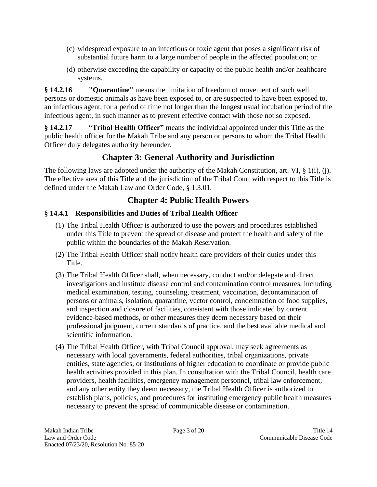- (c) widespread exposure to an infectious or toxic agent that poses a significant risk of substantial future harm to a large number of people in the affected population; or
- (d) otherwise exceeding the capability or capacity of the public health and/or healthcare systems.

**§ 14.2.16 "Quarantine"** means the limitation of freedom of movement of such well persons or domestic animals as have been exposed to, or are suspected to have been exposed to, an infectious agent, for a period of time not longer than the longest usual incubation period of the infectious agent, in such manner as to prevent effective contact with those not so exposed.

**§ 14.2.17 "Tribal Health Officer"** means the individual appointed under this Title as the public health officer for the Makah Tribe and any person or persons to whom the Tribal Health Officer duly delegates authority hereunder.

## **Chapter 3: General Authority and Jurisdiction**

<span id="page-4-0"></span>The following laws are adopted under the authority of the Makah Constitution, art. VI, § 1(i), (j). The effective area of this Title and the jurisdiction of the Tribal Court with respect to this Title is defined under the Makah Law and Order Code, § 1.3.01.

## **Chapter 4: Public Health Powers**

## <span id="page-4-2"></span><span id="page-4-1"></span>**§ 14.4.1 Responsibilities and Duties of Tribal Health Officer**

- (1) The Tribal Health Officer is authorized to use the powers and procedures established under this Title to prevent the spread of disease and protect the health and safety of the public within the boundaries of the Makah Reservation.
- (2) The Tribal Health Officer shall notify health care providers of their duties under this Title.
- (3) The Tribal Health Officer shall, when necessary, conduct and/or delegate and direct investigations and institute disease control and contamination control measures, including medical examination, testing, counseling, treatment, vaccination, decontamination of persons or animals, isolation, quarantine, vector control, condemnation of food supplies, and inspection and closure of facilities, consistent with those indicated by current evidence-based methods, or other measures they deem necessary based on their professional judgment, current standards of practice, and the best available medical and scientific information.
- (4) The Tribal Health Officer, with Tribal Council approval, may seek agreements as necessary with local governments, federal authorities, tribal organizations, private entities, state agencies, or institutions of higher education to coordinate or provide public health activities provided in this plan. In consultation with the Tribal Council, health care providers, health facilities, emergency management personnel, tribal law enforcement, and any other entity they deem necessary, the Tribal Health Officer is authorized to establish plans, policies, and procedures for instituting emergency public health measures necessary to prevent the spread of communicable disease or contamination.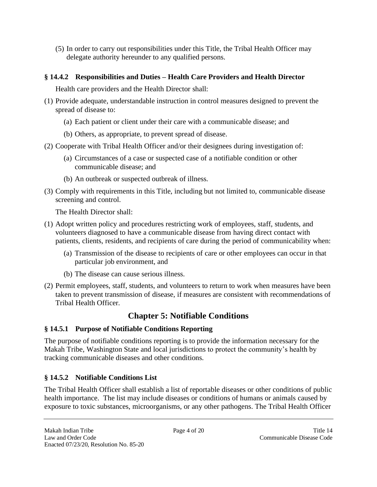(5) In order to carry out responsibilities under this Title, the Tribal Health Officer may delegate authority hereunder to any qualified persons.

#### <span id="page-5-0"></span>**§ 14.4.2 Responsibilities and Duties – Health Care Providers and Health Director**

Health care providers and the Health Director shall:

- (1) Provide adequate, understandable instruction in control measures designed to prevent the spread of disease to:
	- (a) Each patient or client under their care with a communicable disease; and
	- (b) Others, as appropriate, to prevent spread of disease.
- (2) Cooperate with Tribal Health Officer and/or their designees during investigation of:
	- (a) Circumstances of a case or suspected case of a notifiable condition or other communicable disease; and
	- (b) An outbreak or suspected outbreak of illness.
- (3) Comply with requirements in this Title, including but not limited to, communicable disease screening and control.

The Health Director shall:

- (1) Adopt written policy and procedures restricting work of employees, staff, students, and volunteers diagnosed to have a communicable disease from having direct contact with patients, clients, residents, and recipients of care during the period of communicability when:
	- (a) Transmission of the disease to recipients of care or other employees can occur in that particular job environment, and
	- (b) The disease can cause serious illness.
- (2) Permit employees, staff, students, and volunteers to return to work when measures have been taken to prevent transmission of disease, if measures are consistent with recommendations of Tribal Health Officer.

## **Chapter 5: Notifiable Conditions**

## <span id="page-5-2"></span><span id="page-5-1"></span>**§ 14.5.1 Purpose of Notifiable Conditions Reporting**

The purpose of notifiable conditions reporting is to provide the information necessary for the Makah Tribe, Washington State and local jurisdictions to protect the community's health by tracking communicable diseases and other conditions.

## <span id="page-5-3"></span>**§ 14.5.2 Notifiable Conditions List**

The Tribal Health Officer shall establish a list of reportable diseases or other conditions of public health importance. The list may include diseases or conditions of humans or animals caused by exposure to toxic substances, microorganisms, or any other pathogens. The Tribal Health Officer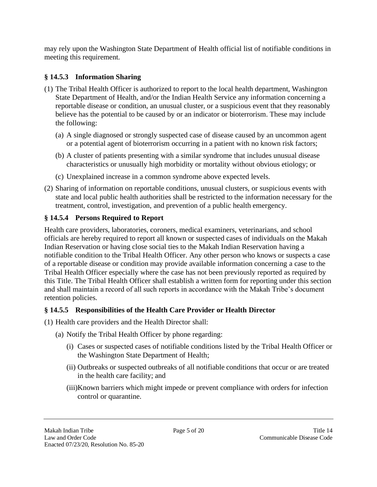may rely upon the Washington State Department of Health official list of notifiable conditions in meeting this requirement.

## <span id="page-6-0"></span>**§ 14.5.3 Information Sharing**

- (1) The Tribal Health Officer is authorized to report to the local health department, Washington State Department of Health, and/or the Indian Health Service any information concerning a reportable disease or condition, an unusual cluster, or a suspicious event that they reasonably believe has the potential to be caused by or an indicator or bioterrorism. These may include the following:
	- (a) A single diagnosed or strongly suspected case of disease caused by an uncommon agent or a potential agent of bioterrorism occurring in a patient with no known risk factors;
	- (b) A cluster of patients presenting with a similar syndrome that includes unusual disease characteristics or unusually high morbidity or mortality without obvious etiology; or
	- (c) Unexplained increase in a common syndrome above expected levels.
- (2) Sharing of information on reportable conditions, unusual clusters, or suspicious events with state and local public health authorities shall be restricted to the information necessary for the treatment, control, investigation, and prevention of a public health emergency.

## <span id="page-6-1"></span>**§ 14.5.4 Persons Required to Report**

Health care providers, laboratories, coroners, medical examiners, veterinarians, and school officials are hereby required to report all known or suspected cases of individuals on the Makah Indian Reservation or having close social ties to the Makah Indian Reservation having a notifiable condition to the Tribal Health Officer. Any other person who knows or suspects a case of a reportable disease or condition may provide available information concerning a case to the Tribal Health Officer especially where the case has not been previously reported as required by this Title. The Tribal Health Officer shall establish a written form for reporting under this section and shall maintain a record of all such reports in accordance with the Makah Tribe's document retention policies.

#### <span id="page-6-2"></span>**§ 14.5.5 Responsibilities of the Health Care Provider or Health Director**

- (1) Health care providers and the Health Director shall:
	- (a) Notify the Tribal Health Officer by phone regarding:
		- (i) Cases or suspected cases of notifiable conditions listed by the Tribal Health Officer or the Washington State Department of Health;
		- (ii) Outbreaks or suspected outbreaks of all notifiable conditions that occur or are treated in the health care facility; and
		- (iii)Known barriers which might impede or prevent compliance with orders for infection control or quarantine.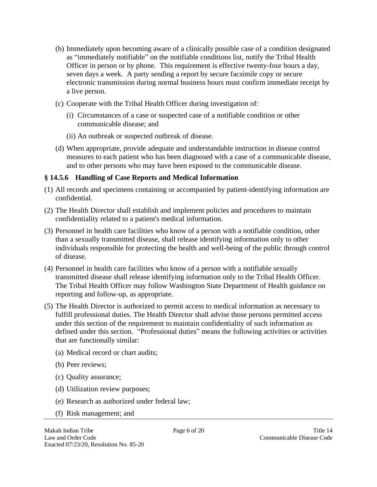- (b) Immediately upon becoming aware of a clinically possible case of a condition designated as "immediately notifiable" on the notifiable conditions list, notify the Tribal Health Officer in person or by phone. This requirement is effective twenty-four hours a day, seven days a week. A party sending a report by secure facsimile copy or secure electronic transmission during normal business hours must confirm immediate receipt by a live person.
- (c) Cooperate with the Tribal Health Officer during investigation of:
	- (i) Circumstances of a case or suspected case of a notifiable condition or other communicable disease; and
	- (ii) An outbreak or suspected outbreak of disease.
- (d) When appropriate, provide adequate and understandable instruction in disease control measures to each patient who has been diagnosed with a case of a communicable disease, and to other persons who may have been exposed to the communicable disease.

#### <span id="page-7-0"></span>**§ 14.5.6 Handling of Case Reports and Medical Information**

- (1) All records and specimens containing or accompanied by patient-identifying information are confidential.
- (2) The Health Director shall establish and implement policies and procedures to maintain confidentiality related to a patient's medical information.
- (3) Personnel in health care facilities who know of a person with a notifiable condition, other than a sexually transmitted disease, shall release identifying information only to other individuals responsible for protecting the health and well-being of the public through control of disease.
- (4) Personnel in health care facilities who know of a person with a notifiable sexually transmitted disease shall release identifying information only to the Tribal Health Officer. The Tribal Health Officer may follow Washington State Department of Health guidance on reporting and follow-up, as appropriate.
- (5) The Health Director is authorized to permit access to medical information as necessary to fulfill professional duties. The Health Director shall advise those persons permitted access under this section of the requirement to maintain confidentiality of such information as defined under this section. "Professional duties" means the following activities or activities that are functionally similar:
	- (a) Medical record or chart audits;
	- (b) Peer reviews;
	- (c) Quality assurance;
	- (d) Utilization review purposes;
	- (e) Research as authorized under federal law;
	- (f) Risk management; and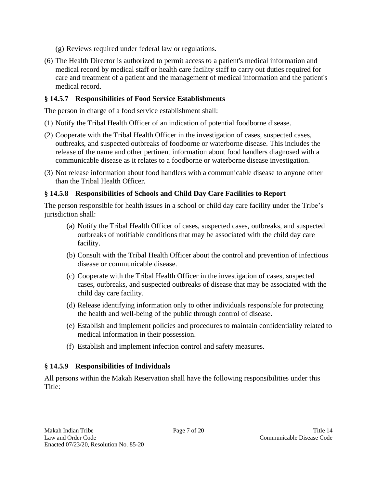- (g) Reviews required under federal law or regulations.
- (6) The Health Director is authorized to permit access to a patient's medical information and medical record by medical staff or health care facility staff to carry out duties required for care and treatment of a patient and the management of medical information and the patient's medical record.

### <span id="page-8-0"></span>**§ 14.5.7 Responsibilities of Food Service Establishments**

The person in charge of a food service establishment shall:

- (1) Notify the Tribal Health Officer of an indication of potential foodborne disease.
- (2) Cooperate with the Tribal Health Officer in the investigation of cases, suspected cases, outbreaks, and suspected outbreaks of foodborne or waterborne disease. This includes the release of the name and other pertinent information about food handlers diagnosed with a communicable disease as it relates to a foodborne or waterborne disease investigation.
- (3) Not release information about food handlers with a communicable disease to anyone other than the Tribal Health Officer.

### <span id="page-8-1"></span>**§ 14.5.8 Responsibilities of Schools and Child Day Care Facilities to Report**

The person responsible for health issues in a school or child day care facility under the Tribe's jurisdiction shall:

- (a) Notify the Tribal Health Officer of cases, suspected cases, outbreaks, and suspected outbreaks of notifiable conditions that may be associated with the child day care facility.
- (b) Consult with the Tribal Health Officer about the control and prevention of infectious disease or communicable disease.
- (c) Cooperate with the Tribal Health Officer in the investigation of cases, suspected cases, outbreaks, and suspected outbreaks of disease that may be associated with the child day care facility.
- (d) Release identifying information only to other individuals responsible for protecting the health and well-being of the public through control of disease.
- (e) Establish and implement policies and procedures to maintain confidentiality related to medical information in their possession.
- (f) Establish and implement infection control and safety measures.

## <span id="page-8-2"></span>**§ 14.5.9 Responsibilities of Individuals**

All persons within the Makah Reservation shall have the following responsibilities under this Title: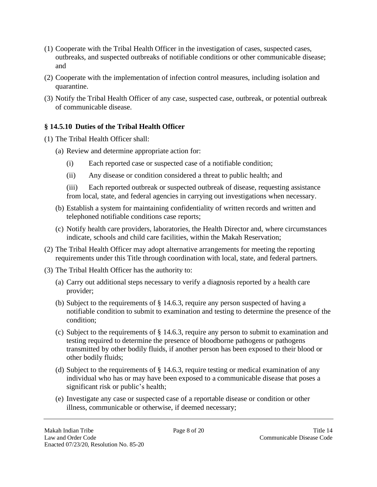- (1) Cooperate with the Tribal Health Officer in the investigation of cases, suspected cases, outbreaks, and suspected outbreaks of notifiable conditions or other communicable disease; and
- (2) Cooperate with the implementation of infection control measures, including isolation and quarantine.
- (3) Notify the Tribal Health Officer of any case, suspected case, outbreak, or potential outbreak of communicable disease.

#### <span id="page-9-0"></span>**§ 14.5.10 Duties of the Tribal Health Officer**

- (1) The Tribal Health Officer shall:
	- (a) Review and determine appropriate action for:
		- (i) Each reported case or suspected case of a notifiable condition;
		- (ii) Any disease or condition considered a threat to public health; and

(iii) Each reported outbreak or suspected outbreak of disease, requesting assistance from local, state, and federal agencies in carrying out investigations when necessary.

- (b) Establish a system for maintaining confidentiality of written records and written and telephoned notifiable conditions case reports;
- (c) Notify health care providers, laboratories, the Health Director and, where circumstances indicate, schools and child care facilities, within the Makah Reservation;
- (2) The Tribal Health Officer may adopt alternative arrangements for meeting the reporting requirements under this Title through coordination with local, state, and federal partners.
- (3) The Tribal Health Officer has the authority to:
	- (a) Carry out additional steps necessary to verify a diagnosis reported by a health care provider;
	- (b) Subject to the requirements of § 14.6.3, require any person suspected of having a notifiable condition to submit to examination and testing to determine the presence of the condition;
	- (c) Subject to the requirements of § 14.6.3, require any person to submit to examination and testing required to determine the presence of bloodborne pathogens or pathogens transmitted by other bodily fluids, if another person has been exposed to their blood or other bodily fluids;
	- (d) Subject to the requirements of § 14.6.3, require testing or medical examination of any individual who has or may have been exposed to a communicable disease that poses a significant risk or public's health;
	- (e) Investigate any case or suspected case of a reportable disease or condition or other illness, communicable or otherwise, if deemed necessary;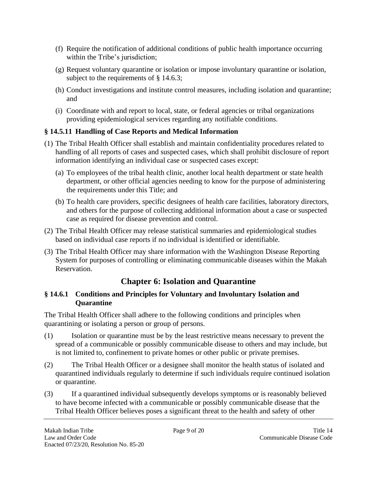- (f) Require the notification of additional conditions of public health importance occurring within the Tribe's jurisdiction;
- (g) Request voluntary quarantine or isolation or impose involuntary quarantine or isolation, subject to the requirements of § 14.6.3;
- (h) Conduct investigations and institute control measures, including isolation and quarantine; and
- (i) Coordinate with and report to local, state, or federal agencies or tribal organizations providing epidemiological services regarding any notifiable conditions.

### <span id="page-10-0"></span>**§ 14.5.11 Handling of Case Reports and Medical Information**

- (1) The Tribal Health Officer shall establish and maintain confidentiality procedures related to handling of all reports of cases and suspected cases, which shall prohibit disclosure of report information identifying an individual case or suspected cases except:
	- (a) To employees of the tribal health clinic, another local health department or state health department, or other official agencies needing to know for the purpose of administering the requirements under this Title; and
	- (b) To health care providers, specific designees of health care facilities, laboratory directors, and others for the purpose of collecting additional information about a case or suspected case as required for disease prevention and control.
- (2) The Tribal Health Officer may release statistical summaries and epidemiological studies based on individual case reports if no individual is identified or identifiable.
- (3) The Tribal Health Officer may share information with the Washington Disease Reporting System for purposes of controlling or eliminating communicable diseases within the Makah Reservation.

## **Chapter 6: Isolation and Quarantine**

### <span id="page-10-2"></span><span id="page-10-1"></span>**§ 14.6.1 Conditions and Principles for Voluntary and Involuntary Isolation and Quarantine**

The Tribal Health Officer shall adhere to the following conditions and principles when quarantining or isolating a person or group of persons.

- (1) Isolation or quarantine must be by the least restrictive means necessary to prevent the spread of a communicable or possibly communicable disease to others and may include, but is not limited to, confinement to private homes or other public or private premises.
- (2) The Tribal Health Officer or a designee shall monitor the health status of isolated and quarantined individuals regularly to determine if such individuals require continued isolation or quarantine.
- (3) If a quarantined individual subsequently develops symptoms or is reasonably believed to have become infected with a communicable or possibly communicable disease that the Tribal Health Officer believes poses a significant threat to the health and safety of other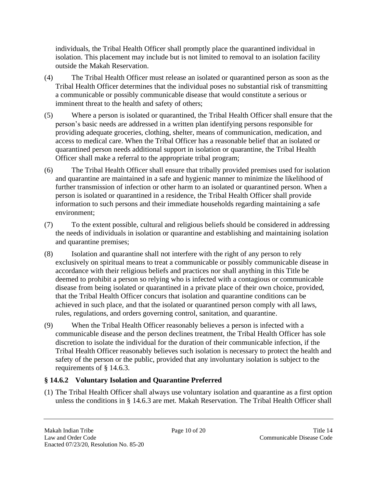individuals, the Tribal Health Officer shall promptly place the quarantined individual in isolation. This placement may include but is not limited to removal to an isolation facility outside the Makah Reservation.

- (4) The Tribal Health Officer must release an isolated or quarantined person as soon as the Tribal Health Officer determines that the individual poses no substantial risk of transmitting a communicable or possibly communicable disease that would constitute a serious or imminent threat to the health and safety of others;
- (5) Where a person is isolated or quarantined, the Tribal Health Officer shall ensure that the person's basic needs are addressed in a written plan identifying persons responsible for providing adequate groceries, clothing, shelter, means of communication, medication, and access to medical care. When the Tribal Officer has a reasonable belief that an isolated or quarantined person needs additional support in isolation or quarantine, the Tribal Health Officer shall make a referral to the appropriate tribal program;
- (6) The Tribal Health Officer shall ensure that tribally provided premises used for isolation and quarantine are maintained in a safe and hygienic manner to minimize the likelihood of further transmission of infection or other harm to an isolated or quarantined person. When a person is isolated or quarantined in a residence, the Tribal Health Officer shall provide information to such persons and their immediate households regarding maintaining a safe environment;
- (7) To the extent possible, cultural and religious beliefs should be considered in addressing the needs of individuals in isolation or quarantine and establishing and maintaining isolation and quarantine premises;
- (8) Isolation and quarantine shall not interfere with the right of any person to rely exclusively on spiritual means to treat a communicable or possibly communicable disease in accordance with their religious beliefs and practices nor shall anything in this Title be deemed to prohibit a person so relying who is infected with a contagious or communicable disease from being isolated or quarantined in a private place of their own choice, provided, that the Tribal Health Officer concurs that isolation and quarantine conditions can be achieved in such place, and that the isolated or quarantined person comply with all laws, rules, regulations, and orders governing control, sanitation, and quarantine.
- (9) When the Tribal Health Officer reasonably believes a person is infected with a communicable disease and the person declines treatment, the Tribal Health Officer has sole discretion to isolate the individual for the duration of their communicable infection, if the Tribal Health Officer reasonably believes such isolation is necessary to protect the health and safety of the person or the public, provided that any involuntary isolation is subject to the requirements of § 14.6.3.

#### <span id="page-11-0"></span>**§ 14.6.2 Voluntary Isolation and Quarantine Preferred**

(1) The Tribal Health Officer shall always use voluntary isolation and quarantine as a first option unless the conditions in § 14.6.3 are met. Makah Reservation. The Tribal Health Officer shall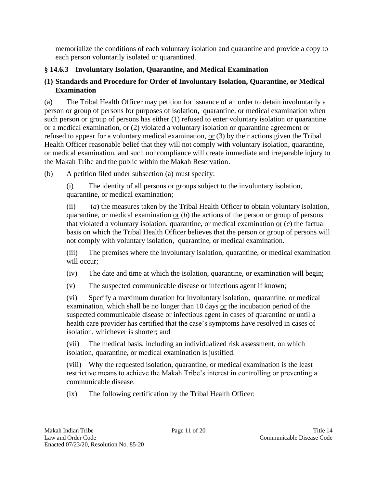memorialize the conditions of each voluntary isolation and quarantine and provide a copy to each person voluntarily isolated or quarantined.

### <span id="page-12-0"></span>**§ 14.6.3 Involuntary Isolation, Quarantine, and Medical Examination**

#### **(1) Standards and Procedure for Order of Involuntary Isolation, Quarantine, or Medical Examination**

(a) The Tribal Health Officer may petition for issuance of an order to detain involuntarily a person or group of persons for purposes of isolation, quarantine, or medical examination when such person or group of persons has either (1) refused to enter voluntary isolation or quarantine or a medical examination, or (2) violated a voluntary isolation or quarantine agreement or refused to appear for a voluntary medical examination,  $or (3)$  by their actions given the Tribal</u> Health Officer reasonable belief that they will not comply with voluntary isolation, quarantine, or medical examination, and such noncompliance will create immediate and irreparable injury to the Makah Tribe and the public within the Makah Reservation.

(b) A petition filed under subsection (a) must specify:

(i) The identity of all persons or groups subject to the involuntary isolation, quarantine, or medical examination;

(ii) (*a*) the measures taken by the Tribal Health Officer to obtain voluntary isolation, quarantine, or medical examination or (*b*) the actions of the person or group of persons that violated a voluntary isolation. quarantine, or medical examination or (*c*) the factual basis on which the Tribal Health Officer believes that the person or group of persons will not comply with voluntary isolation, quarantine, or medical examination.

(iii) The premises where the involuntary isolation, quarantine, or medical examination will occur:

(iv) The date and time at which the isolation, quarantine, or examination will begin;

(v) The suspected communicable disease or infectious agent if known;

(vi) Specify a maximum duration for involuntary isolation, quarantine, or medical examination, which shall be no longer than  $10$  days  $or$  the incubation period of the</u> suspected communicable disease or infectious agent in cases of quarantine or until a health care provider has certified that the case's symptoms have resolved in cases of isolation, whichever is shorter; and

(vii) The medical basis, including an individualized risk assessment, on which isolation, quarantine, or medical examination is justified.

(viii) Why the requested isolation, quarantine, or medical examination is the least restrictive means to achieve the Makah Tribe's interest in controlling or preventing a communicable disease.

(ix) The following certification by the Tribal Health Officer: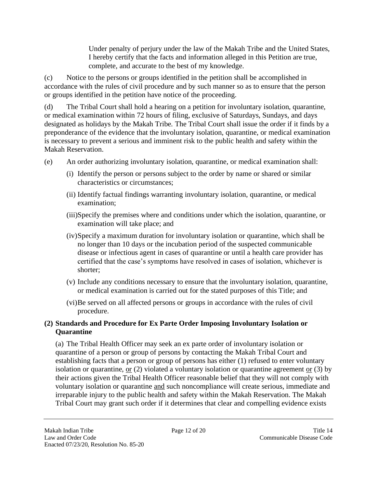Under penalty of perjury under the law of the Makah Tribe and the United States, I hereby certify that the facts and information alleged in this Petition are true, complete, and accurate to the best of my knowledge.

(c) Notice to the persons or groups identified in the petition shall be accomplished in accordance with the rules of civil procedure and by such manner so as to ensure that the person or groups identified in the petition have notice of the proceeding.

(d) The Tribal Court shall hold a hearing on a petition for involuntary isolation, quarantine, or medical examination within 72 hours of filing, exclusive of Saturdays, Sundays, and days designated as holidays by the Makah Tribe. The Tribal Court shall issue the order if it finds by a preponderance of the evidence that the involuntary isolation, quarantine, or medical examination is necessary to prevent a serious and imminent risk to the public health and safety within the Makah Reservation.

- (e) An order authorizing involuntary isolation, quarantine, or medical examination shall:
	- (i) Identify the person or persons subject to the order by name or shared or similar characteristics or circumstances;
	- (ii) Identify factual findings warranting involuntary isolation, quarantine, or medical examination;
	- (iii)Specify the premises where and conditions under which the isolation, quarantine, or examination will take place; and
	- (iv)Specify a maximum duration for involuntary isolation or quarantine, which shall be no longer than 10 days or the incubation period of the suspected communicable disease or infectious agent in cases of quarantine or until a health care provider has certified that the case's symptoms have resolved in cases of isolation, whichever is shorter;
	- (v) Include any conditions necessary to ensure that the involuntary isolation, quarantine, or medical examination is carried out for the stated purposes of this Title; and
	- (vi)Be served on all affected persons or groups in accordance with the rules of civil procedure.

### **(2) Standards and Procedure for Ex Parte Order Imposing Involuntary Isolation or Quarantine**

(a) The Tribal Health Officer may seek an ex parte order of involuntary isolation or quarantine of a person or group of persons by contacting the Makah Tribal Court and establishing facts that a person or group of persons has either (1) refused to enter voluntary isolation or quarantine, or (2) violated a voluntary isolation or quarantine agreement or (3) by their actions given the Tribal Health Officer reasonable belief that they will not comply with voluntary isolation or quarantine and such noncompliance will create serious, immediate and irreparable injury to the public health and safety within the Makah Reservation. The Makah Tribal Court may grant such order if it determines that clear and compelling evidence exists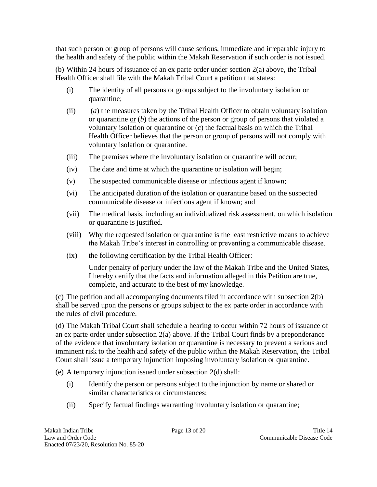that such person or group of persons will cause serious, immediate and irreparable injury to the health and safety of the public within the Makah Reservation if such order is not issued.

(b) Within 24 hours of issuance of an ex parte order under section 2(a) above, the Tribal Health Officer shall file with the Makah Tribal Court a petition that states:

- (i) The identity of all persons or groups subject to the involuntary isolation or quarantine;
- (ii) (*a*) the measures taken by the Tribal Health Officer to obtain voluntary isolation or quarantine or (*b*) the actions of the person or group of persons that violated a voluntary isolation or quarantine or (*c*) the factual basis on which the Tribal Health Officer believes that the person or group of persons will not comply with voluntary isolation or quarantine.
- (iii) The premises where the involuntary isolation or quarantine will occur;
- (iv) The date and time at which the quarantine or isolation will begin;
- (v) The suspected communicable disease or infectious agent if known;
- (vi) The anticipated duration of the isolation or quarantine based on the suspected communicable disease or infectious agent if known; and
- (vii) The medical basis, including an individualized risk assessment, on which isolation or quarantine is justified.
- (viii) Why the requested isolation or quarantine is the least restrictive means to achieve the Makah Tribe's interest in controlling or preventing a communicable disease.
- (ix) the following certification by the Tribal Health Officer:

Under penalty of perjury under the law of the Makah Tribe and the United States, I hereby certify that the facts and information alleged in this Petition are true, complete, and accurate to the best of my knowledge.

(c) The petition and all accompanying documents filed in accordance with subsection 2(b) shall be served upon the persons or groups subject to the ex parte order in accordance with the rules of civil procedure.

(d) The Makah Tribal Court shall schedule a hearing to occur within 72 hours of issuance of an ex parte order under subsection 2(a) above. If the Tribal Court finds by a preponderance of the evidence that involuntary isolation or quarantine is necessary to prevent a serious and imminent risk to the health and safety of the public within the Makah Reservation, the Tribal Court shall issue a temporary injunction imposing involuntary isolation or quarantine.

(e) A temporary injunction issued under subsection 2(d) shall:

- (i) Identify the person or persons subject to the injunction by name or shared or similar characteristics or circumstances;
- (ii) Specify factual findings warranting involuntary isolation or quarantine;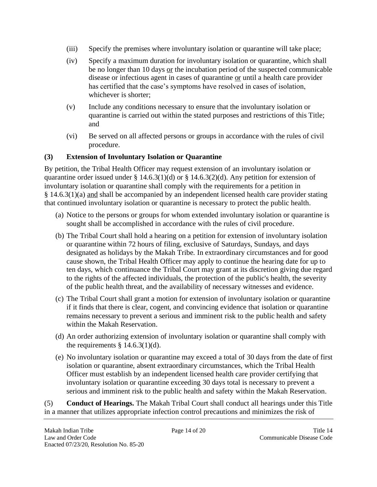- (iii) Specify the premises where involuntary isolation or quarantine will take place;
- (iv) Specify a maximum duration for involuntary isolation or quarantine, which shall be no longer than 10 days or the incubation period of the suspected communicable disease or infectious agent in cases of quarantine or until a health care provider has certified that the case's symptoms have resolved in cases of isolation, whichever is shorter;
- (v) Include any conditions necessary to ensure that the involuntary isolation or quarantine is carried out within the stated purposes and restrictions of this Title; and
- (vi) Be served on all affected persons or groups in accordance with the rules of civil procedure.

#### **(3) Extension of Involuntary Isolation or Quarantine**

By petition, the Tribal Health Officer may request extension of an involuntary isolation or quarantine order issued under § 14.6.3(1)(d) or § 14.6.3(2)(d). Any petition for extension of involuntary isolation or quarantine shall comply with the requirements for a petition in § 14.6.3(1)(a) and shall be accompanied by an independent licensed health care provider stating that continued involuntary isolation or quarantine is necessary to protect the public health.

- (a) Notice to the persons or groups for whom extended involuntary isolation or quarantine is sought shall be accomplished in accordance with the rules of civil procedure.
- (b) The Tribal Court shall hold a hearing on a petition for extension of involuntary isolation or quarantine within 72 hours of filing, exclusive of Saturdays, Sundays, and days designated as holidays by the Makah Tribe. In extraordinary circumstances and for good cause shown, the Tribal Health Officer may apply to continue the hearing date for up to ten days, which continuance the Tribal Court may grant at its discretion giving due regard to the rights of the affected individuals, the protection of the public's health, the severity of the public health threat, and the availability of necessary witnesses and evidence.
- (c) The Tribal Court shall grant a motion for extension of involuntary isolation or quarantine if it finds that there is clear, cogent, and convincing evidence that isolation or quarantine remains necessary to prevent a serious and imminent risk to the public health and safety within the Makah Reservation.
- (d) An order authorizing extension of involuntary isolation or quarantine shall comply with the requirements  $\S$  14.6.3(1)(d).
- (e) No involuntary isolation or quarantine may exceed a total of 30 days from the date of first isolation or quarantine, absent extraordinary circumstances, which the Tribal Health Officer must establish by an independent licensed health care provider certifying that involuntary isolation or quarantine exceeding 30 days total is necessary to prevent a serious and imminent risk to the public health and safety within the Makah Reservation.

(5) **Conduct of Hearings.** The Makah Tribal Court shall conduct all hearings under this Title in a manner that utilizes appropriate infection control precautions and minimizes the risk of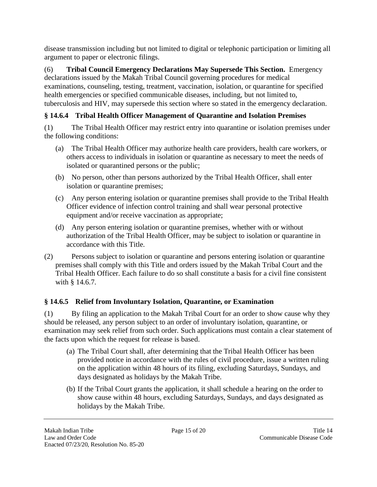disease transmission including but not limited to digital or telephonic participation or limiting all argument to paper or electronic filings.

(6) **Tribal Council Emergency Declarations May Supersede This Section.** Emergency declarations issued by the Makah Tribal Council governing procedures for medical examinations, counseling, testing, treatment, vaccination, isolation, or quarantine for specified health emergencies or specified communicable diseases, including, but not limited to, tuberculosis and HIV, may supersede this section where so stated in the emergency declaration.

## <span id="page-16-0"></span>**§ 14.6.4 Tribal Health Officer Management of Quarantine and Isolation Premises**

(1) The Tribal Health Officer may restrict entry into quarantine or isolation premises under the following conditions:

- (a) The Tribal Health Officer may authorize health care providers, health care workers, or others access to individuals in isolation or quarantine as necessary to meet the needs of isolated or quarantined persons or the public;
- (b) No person, other than persons authorized by the Tribal Health Officer, shall enter isolation or quarantine premises;
- (c) Any person entering isolation or quarantine premises shall provide to the Tribal Health Officer evidence of infection control training and shall wear personal protective equipment and/or receive vaccination as appropriate;
- (d) Any person entering isolation or quarantine premises, whether with or without authorization of the Tribal Health Officer, may be subject to isolation or quarantine in accordance with this Title.
- (2) Persons subject to isolation or quarantine and persons entering isolation or quarantine premises shall comply with this Title and orders issued by the Makah Tribal Court and the Tribal Health Officer. Each failure to do so shall constitute a basis for a civil fine consistent with § 14.6.7.

## <span id="page-16-1"></span>**§ 14.6.5 Relief from Involuntary Isolation, Quarantine, or Examination**

(1) By filing an application to the Makah Tribal Court for an order to show cause why they should be released, any person subject to an order of involuntary isolation, quarantine, or examination may seek relief from such order. Such applications must contain a clear statement of the facts upon which the request for release is based.

- (a) The Tribal Court shall, after determining that the Tribal Health Officer has been provided notice in accordance with the rules of civil procedure, issue a written ruling on the application within 48 hours of its filing, excluding Saturdays, Sundays, and days designated as holidays by the Makah Tribe.
- (b) If the Tribal Court grants the application, it shall schedule a hearing on the order to show cause within 48 hours, excluding Saturdays, Sundays, and days designated as holidays by the Makah Tribe.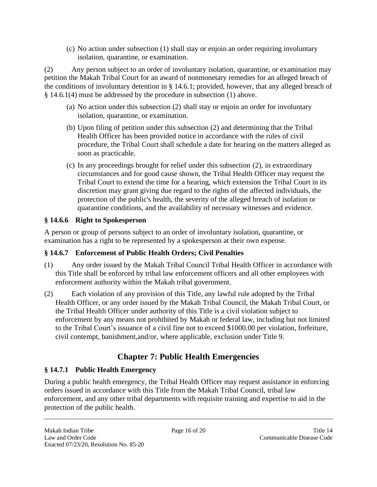(c) No action under subsection (1) shall stay or enjoin an order requiring involuntary isolation, quarantine, or examination.

(2) Any person subject to an order of involuntary isolation, quarantine, or examination may petition the Makah Tribal Court for an award of nonmonetary remedies for an alleged breach of the conditions of involuntary detention in § 14.6.1; provided, however, that any alleged breach of § 14.6.1(4) must be addressed by the procedure in subsection (1) above.

- (a) No action under this subsection (2) shall stay or enjoin an order for involuntary isolation, quarantine, or examination.
- (b) Upon filing of petition under this subsection (2) and determining that the Tribal Health Officer has been provided notice in accordance with the rules of civil procedure, the Tribal Court shall schedule a date for hearing on the matters alleged as soon as practicable.
- (c) In any proceedings brought for relief under this subsection (2), in extraordinary circumstances and for good cause shown, the Tribal Health Officer may request the Tribal Court to extend the time for a hearing, which extension the Tribal Court in its discretion may grant giving due regard to the rights of the affected individuals, the protection of the public's health, the severity of the alleged breach of isolation or quarantine conditions, and the availability of necessary witnesses and evidence.

#### <span id="page-17-0"></span>**§ 14.6.6 Right to Spokesperson**

A person or group of persons subject to an order of involuntary isolation, quarantine, or examination has a right to be represented by a spokesperson at their own expense.

#### <span id="page-17-1"></span>**§ 14.6.7 Enforcement of Public Health Orders; Civil Penalties**

- (1) Any order issued by the Makah Tribal Council Tribal Health Officer in accordance with this Title shall be enforced by tribal law enforcement officers and all other employees with enforcement authority within the Makah tribal government.
- (2) Each violation of any provision of this Title, any lawful rule adopted by the Tribal Health Officer, or any order issued by the Makah Tribal Council, the Makah Tribal Court, or the Tribal Health Officer under authority of this Title is a civil violation subject to enforcement by any means not prohibited by Makah or federal law, including but not limited to the Tribal Court's issuance of a civil fine not to exceed \$1000.00 per violation, forfeiture, civil contempt, banishment,and/or, where applicable, exclusion under Title 9.

# **Chapter 7: Public Health Emergencies**

## <span id="page-17-3"></span><span id="page-17-2"></span>**§ 14.7.1 Public Health Emergency**

During a public health emergency, the Tribal Health Officer may request assistance in enforcing orders issued in accordance with this Title from the Makah Tribal Council, tribal law enforcement, and any other tribal departments with requisite training and expertise to aid in the protection of the public health.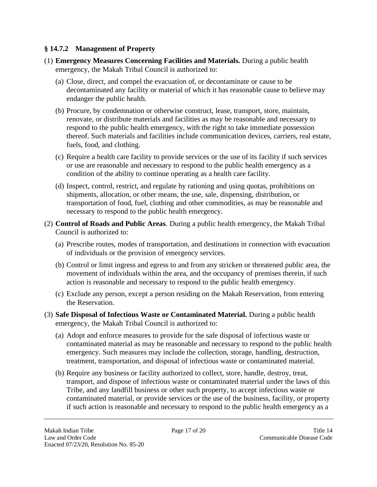#### <span id="page-18-0"></span>**§ 14.7.2 Management of Property**

- (1) **Emergency Measures Concerning Facilities and Materials.** During a public health emergency, the Makah Tribal Council is authorized to:
	- (a) Close, direct, and compel the evacuation of, or decontaminate or cause to be decontaminated any facility or material of which it has reasonable cause to believe may endanger the public health.
	- (b) Procure, by condemnation or otherwise construct, lease, transport, store, maintain, renovate, or distribute materials and facilities as may be reasonable and necessary to respond to the public health emergency, with the right to take immediate possession thereof. Such materials and facilities include communication devices, carriers, real estate, fuels, food, and clothing.
	- (c) Require a health care facility to provide services or the use of its facility if such services or use are reasonable and necessary to respond to the public health emergency as a condition of the ability to continue operating as a health care facility.
	- (d) Inspect, control, restrict, and regulate by rationing and using quotas, prohibitions on shipments, allocation, or other means, the use, sale, dispensing, distribution, or transportation of food, fuel, clothing and other commodities, as may be reasonable and necessary to respond to the public health emergency.
- (2) **Control of Roads and Public Areas**. During a public health emergency, the Makah Tribal Council is authorized to:
	- (a) Prescribe routes, modes of transportation, and destinations in connection with evacuation of individuals or the provision of emergency services.
	- (b) Control or limit ingress and egress to and from any stricken or threatened public area, the movement of individuals within the area, and the occupancy of premises therein, if such action is reasonable and necessary to respond to the public health emergency.
	- (c) Exclude any person, except a person residing on the Makah Reservation, from entering the Reservation.
- (3) **Safe Disposal of Infectious Waste or Contaminated Material.** During a public health emergency, the Makah Tribal Council is authorized to:
	- (a) Adopt and enforce measures to provide for the safe disposal of infectious waste or contaminated material as may be reasonable and necessary to respond to the public health emergency. Such measures may include the collection, storage, handling, destruction, treatment, transportation, and disposal of infectious waste or contaminated material.
	- (b) Require any business or facility authorized to collect, store, handle, destroy, treat, transport, and dispose of infectious waste or contaminated material under the laws of this Tribe, and any landfill business or other such property, to accept infectious waste or contaminated material, or provide services or the use of the business, facility, or property if such action is reasonable and necessary to respond to the public health emergency as a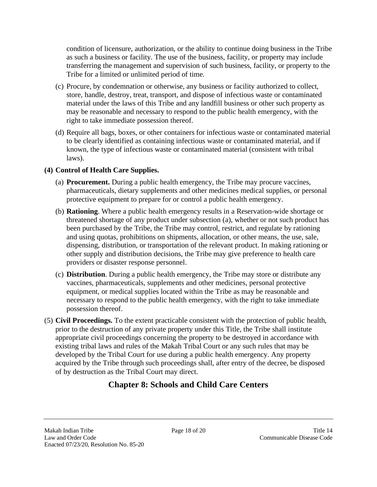condition of licensure, authorization, or the ability to continue doing business in the Tribe as such a business or facility. The use of the business, facility, or property may include transferring the management and supervision of such business, facility, or property to the Tribe for a limited or unlimited period of time.

- (c) Procure, by condemnation or otherwise, any business or facility authorized to collect, store, handle, destroy, treat, transport, and dispose of infectious waste or contaminated material under the laws of this Tribe and any landfill business or other such property as may be reasonable and necessary to respond to the public health emergency, with the right to take immediate possession thereof.
- (d) Require all bags, boxes, or other containers for infectious waste or contaminated material to be clearly identified as containing infectious waste or contaminated material, and if known, the type of infectious waste or contaminated material (consistent with tribal laws).

#### **(4) Control of Health Care Supplies.**

- (a) **Procurement.** During a public health emergency, the Tribe may procure vaccines, pharmaceuticals, dietary supplements and other medicines medical supplies, or personal protective equipment to prepare for or control a public health emergency.
- (b) **Rationing**. Where a public health emergency results in a Reservation-wide shortage or threatened shortage of any product under subsection (a), whether or not such product has been purchased by the Tribe, the Tribe may control, restrict, and regulate by rationing and using quotas, prohibitions on shipments, allocation, or other means, the use, sale, dispensing, distribution, or transportation of the relevant product. In making rationing or other supply and distribution decisions, the Tribe may give preference to health care providers or disaster response personnel.
- (c) **Distribution**. During a public health emergency, the Tribe may store or distribute any vaccines, pharmaceuticals, supplements and other medicines, personal protective equipment, or medical supplies located within the Tribe as may be reasonable and necessary to respond to the public health emergency, with the right to take immediate possession thereof.
- <span id="page-19-0"></span>(5) **Civil Proceedings.** To the extent practicable consistent with the protection of public health, prior to the destruction of any private property under this Title, the Tribe shall institute appropriate civil proceedings concerning the property to be destroyed in accordance with existing tribal laws and rules of the Makah Tribal Court or any such rules that may be developed by the Tribal Court for use during a public health emergency. Any property acquired by the Tribe through such proceedings shall, after entry of the decree, be disposed of by destruction as the Tribal Court may direct.

## **Chapter 8: Schools and Child Care Centers**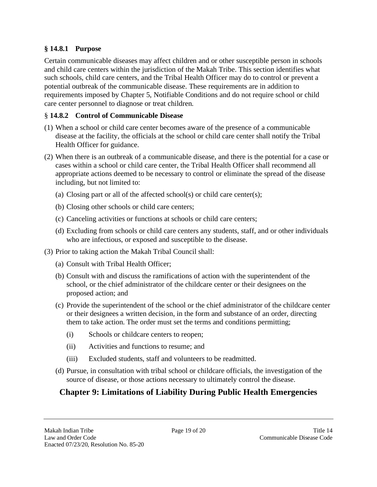#### <span id="page-20-0"></span>**§ 14.8.1 Purpose**

Certain communicable diseases may affect children and or other susceptible person in schools and child care centers within the jurisdiction of the Makah Tribe. This section identifies what such schools, child care centers, and the Tribal Health Officer may do to control or prevent a potential outbreak of the communicable disease. These requirements are in addition to requirements imposed by Chapter 5, Notifiable Conditions and do not require school or child care center personnel to diagnose or treat children.

#### <span id="page-20-1"></span>§ **14.8.2 Control of Communicable Disease**

- (1) When a school or child care center becomes aware of the presence of a communicable disease at the facility, the officials at the school or child care center shall notify the Tribal Health Officer for guidance.
- (2) When there is an outbreak of a communicable disease, and there is the potential for a case or cases within a school or child care center, the Tribal Health Officer shall recommend all appropriate actions deemed to be necessary to control or eliminate the spread of the disease including, but not limited to:
	- (a) Closing part or all of the affected school(s) or child care center(s);
	- (b) Closing other schools or child care centers;
	- (c) Canceling activities or functions at schools or child care centers;
	- (d) Excluding from schools or child care centers any students, staff, and or other individuals who are infectious, or exposed and susceptible to the disease.
- (3) Prior to taking action the Makah Tribal Council shall:
	- (a) Consult with Tribal Health Officer;
	- (b) Consult with and discuss the ramifications of action with the superintendent of the school, or the chief administrator of the childcare center or their designees on the proposed action; and
	- (c) Provide the superintendent of the school or the chief administrator of the childcare center or their designees a written decision, in the form and substance of an order, directing them to take action. The order must set the terms and conditions permitting;
		- (i) Schools or childcare centers to reopen;
		- (ii) Activities and functions to resume; and
		- (iii) Excluded students, staff and volunteers to be readmitted.
	- (d) Pursue, in consultation with tribal school or childcare officials, the investigation of the source of disease, or those actions necessary to ultimately control the disease.

# <span id="page-20-2"></span>**Chapter 9: Limitations of Liability During Public Health Emergencies**